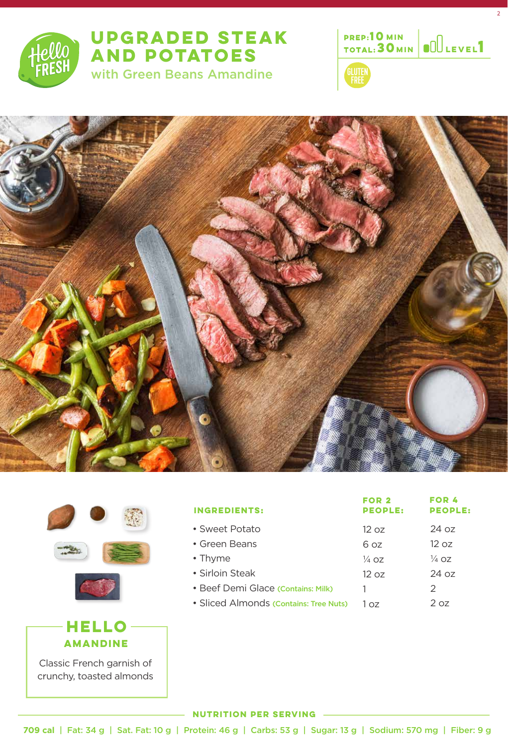

## **UPGRADED STEAK AND POTATOES**

with Green Beans Amandine



2









Classic French garnish of crunchy, toasted almonds

| <b>INGREDIENTS:</b>                    | FOR 2<br><b>PEOPLE:</b> | FOR 4<br><b>PEOPLE:</b> |
|----------------------------------------|-------------------------|-------------------------|
| • Sweet Potato                         | 12 oz                   | 24 oz                   |
| • Green Beans                          | 6 oz                    | 12 oz                   |
| • Thyme                                | $\frac{1}{4}$ OZ        | $\frac{1}{4}$ OZ        |
| • Sirloin Steak                        | 12 oz                   | 24 oz                   |
| • Beef Demi Glace (Contains: Milk)     |                         | 2                       |
| • Sliced Almonds (Contains: Tree Nuts) | 7 כח                    | 2 oz                    |

## **NUTRITION PER SERVING**